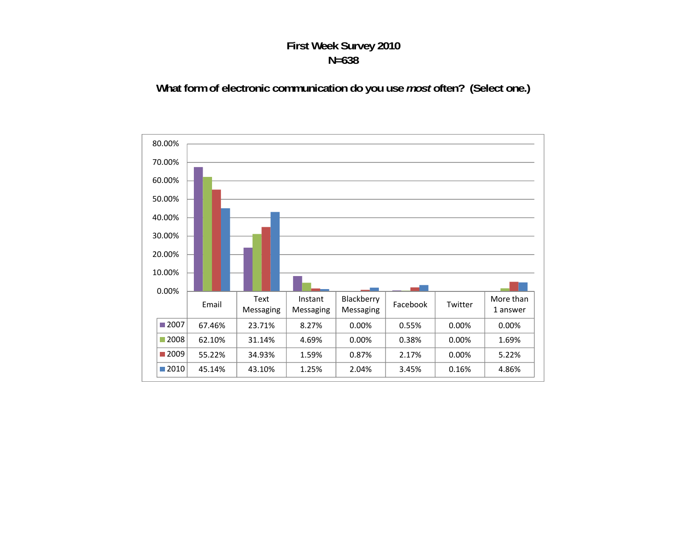#### **First Week Survey 2010 N=638**

#### **What form of electronic communication do you use** *most* **often? (Select one.)**

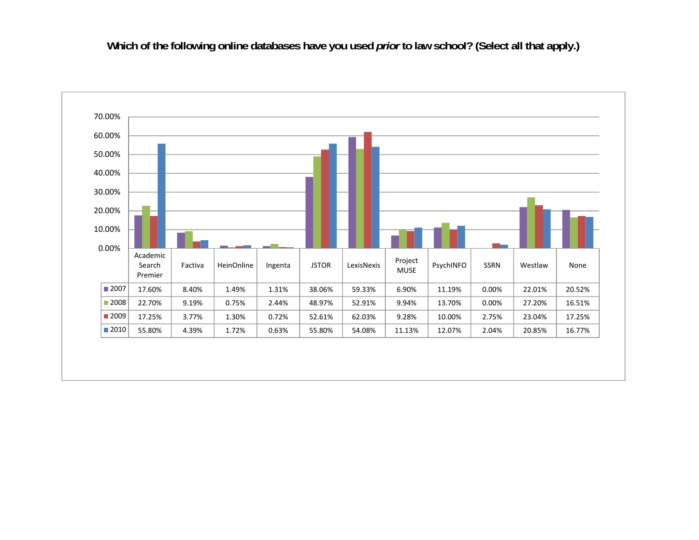Which of the following online databases have you used *prior* to law school? (Select all that apply.)

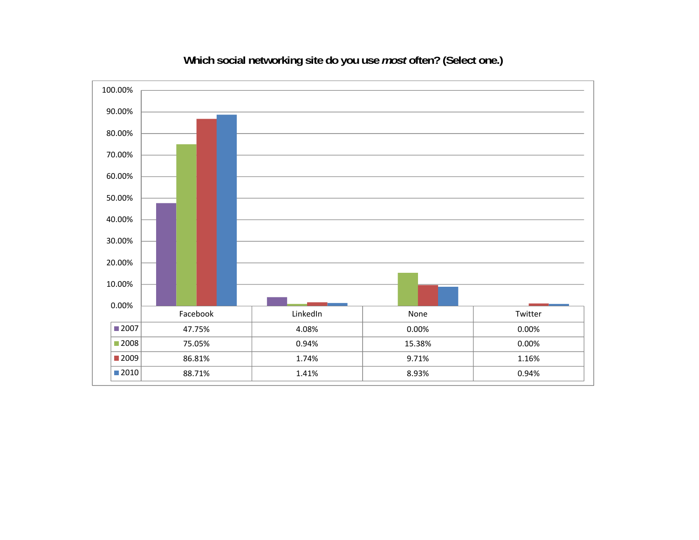

# **Which social networking site do you use** *most* **often? (Select one.)**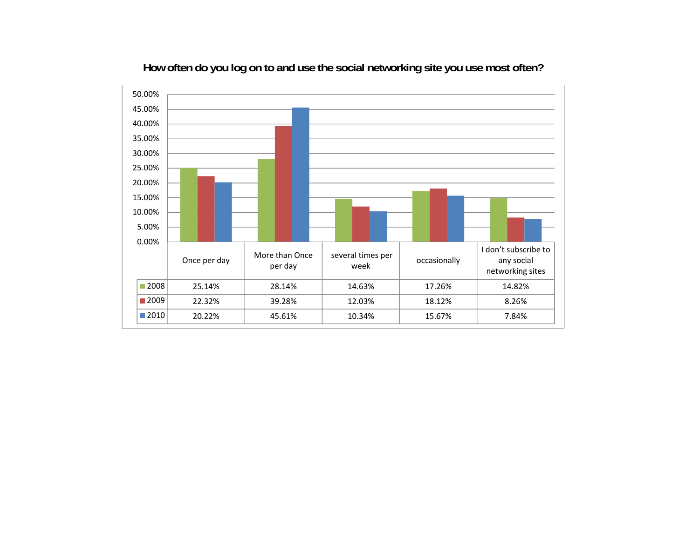

## **How often do you log on to and use the social networking site you use most often?**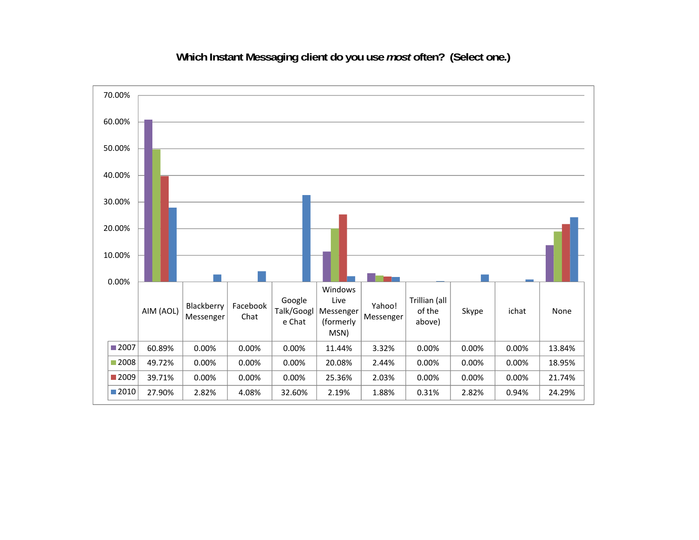**Which Instant Messaging client do you use** *most* **often? (Select one.)** 

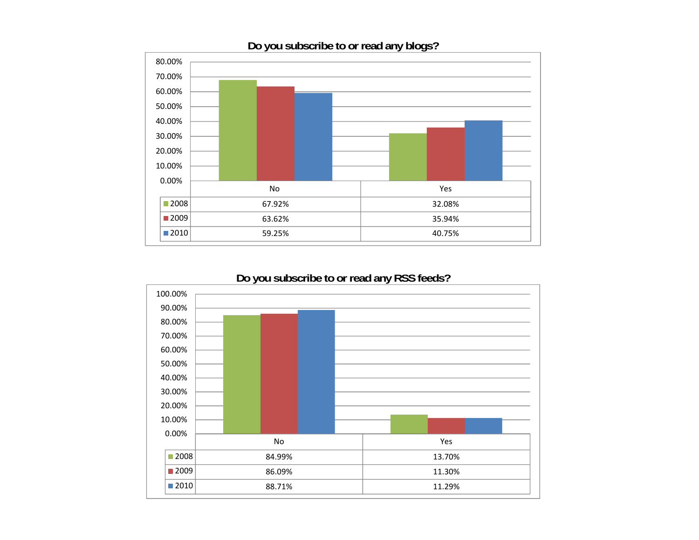

### **Do you subscribe to or read any blogs?**



### **Do you subscribe to or read any RSS feeds?**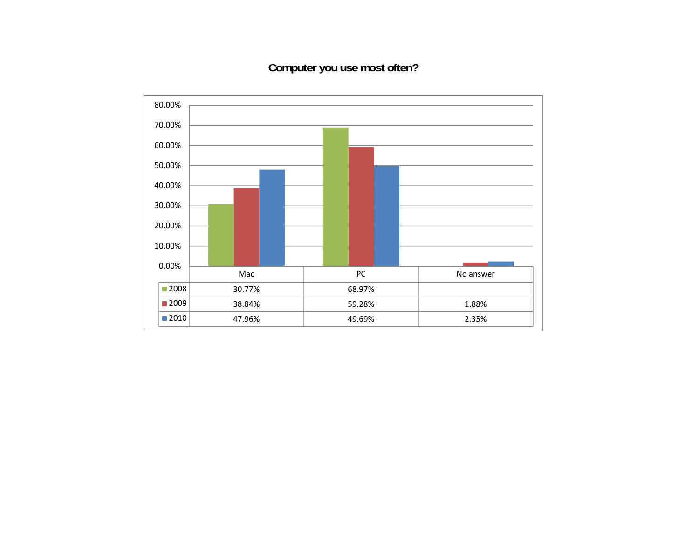# **Computer you use most often?**

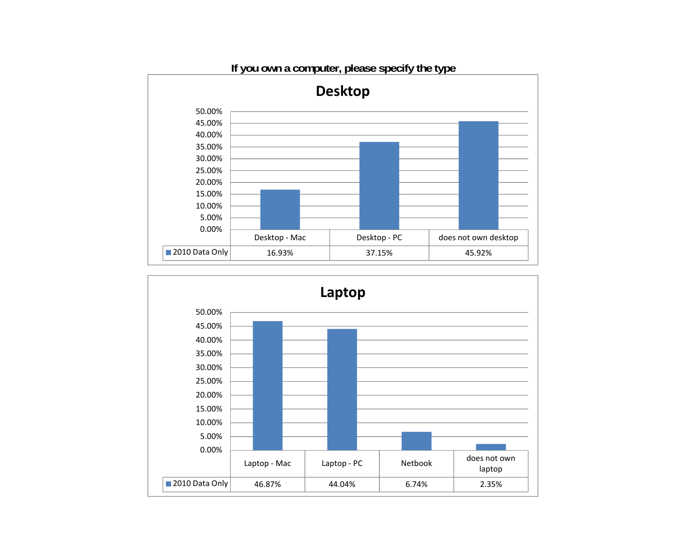



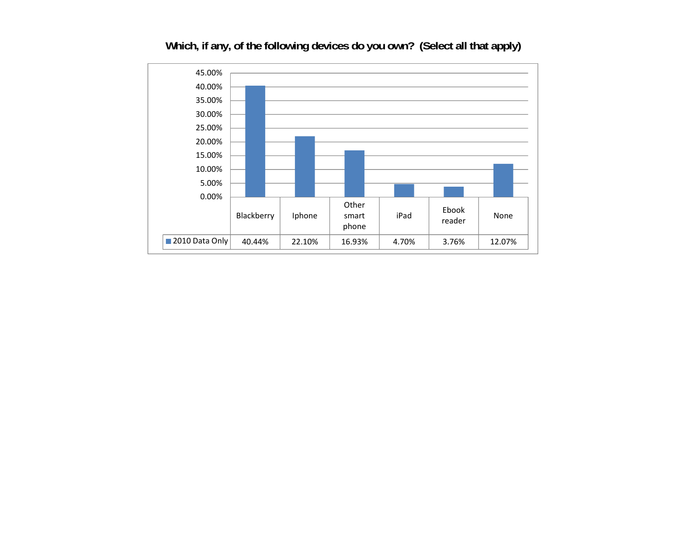

## **Which, if any, of the following devices do you own? (Select all that apply)**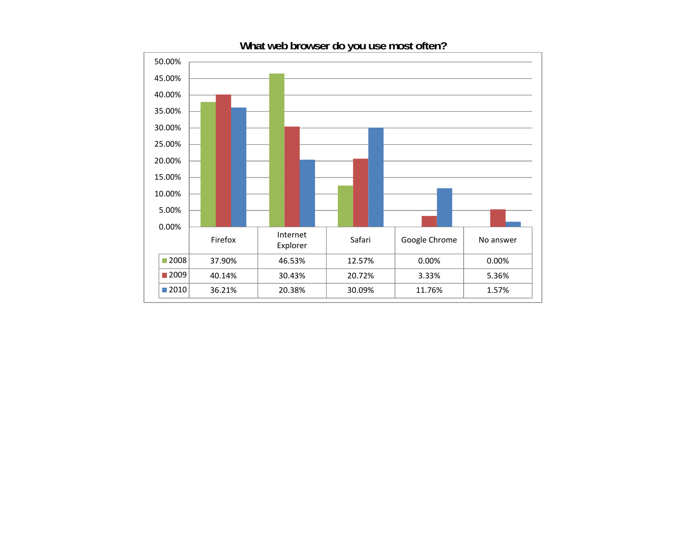

# **What web browser do you use most often?**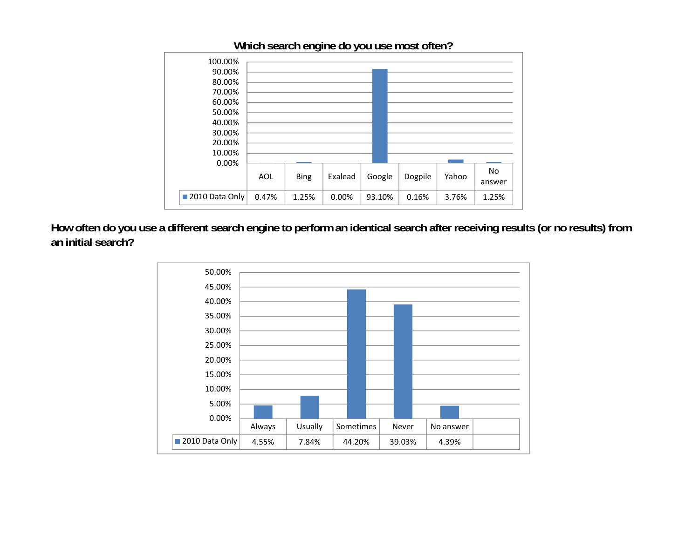

**Which search engine do you use most often?** 

**How often do you use a different search engine to perform an identical search after receiving results (or no results) from an initial search?** 

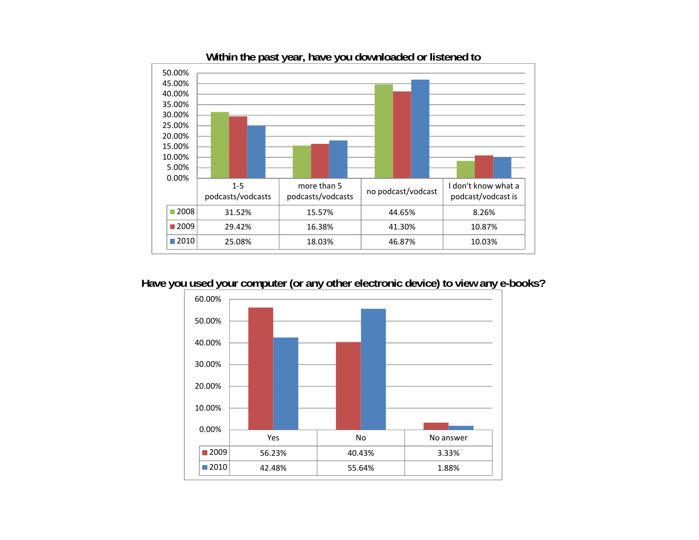

**Within the past year, have you downloaded or listened to** 

**Have you used your computer (or any other electronic device) to view any e-books?**